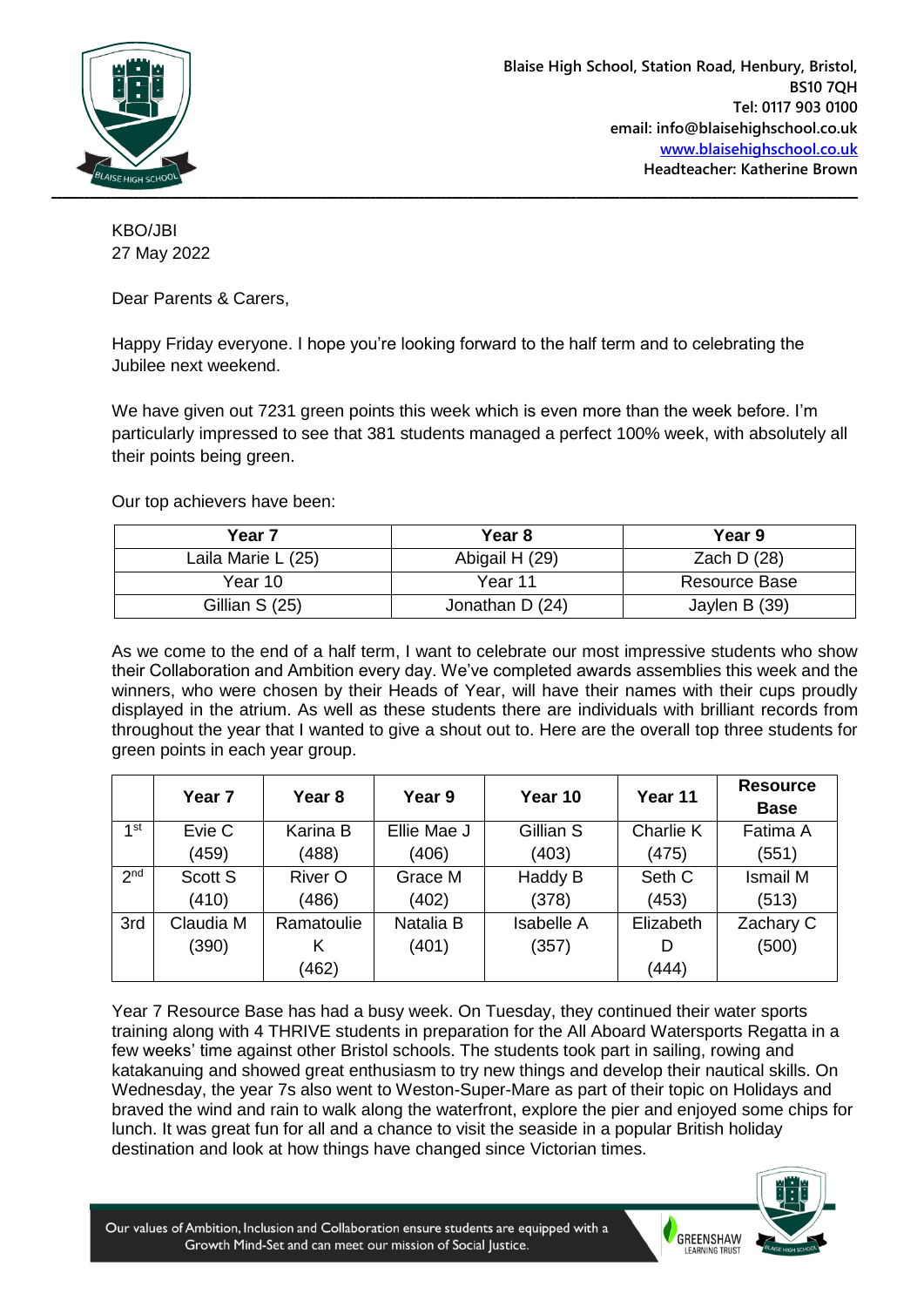

KBO/JBI 27 May 2022

Dear Parents & Carers,

Happy Friday everyone. I hope you're looking forward to the half term and to celebrating the Jubilee next weekend.

We have given out 7231 green points this week which is even more than the week before. I'm particularly impressed to see that 381 students managed a perfect 100% week, with absolutely all their points being green.

Our top achievers have been:

| Year <sub>7</sub>  | Year 8          | Year 9        |  |
|--------------------|-----------------|---------------|--|
| Laila Marie L (25) | Abigail H (29)  | Zach D $(28)$ |  |
| Year 10            | Year 11         | Resource Base |  |
| Gillian S (25)     | Jonathan D (24) | Jaylen B (39) |  |

As we come to the end of a half term, I want to celebrate our most impressive students who show their Collaboration and Ambition every day. We've completed awards assemblies this week and the winners, who were chosen by their Heads of Year, will have their names with their cups proudly displayed in the atrium. As well as these students there are individuals with brilliant records from throughout the year that I wanted to give a shout out to. Here are the overall top three students for green points in each year group.

|                 | Year <sub>7</sub> | Year 8         | Year 9      | Year 10           | Year 11   | <b>Resource</b><br><b>Base</b> |
|-----------------|-------------------|----------------|-------------|-------------------|-----------|--------------------------------|
| 1st             | Evie C            | Karina B       | Ellie Mae J | Gillian S         | Charlie K | Fatima A                       |
|                 | (459)             | (488)          | (406)       | (403)             | (475)     | (551)                          |
| 2 <sup>nd</sup> | Scott S           | <b>River O</b> | Grace M     | Haddy B           | Seth C    | <b>Ismail M</b>                |
|                 | (410)             | (486)          | (402)       | (378)             | (453)     | (513)                          |
| 3rd             | Claudia M         | Ramatoulie     | Natalia B   | <b>Isabelle A</b> | Elizabeth | Zachary C                      |
|                 | (390)             | κ              | (401)       | (357)             |           | (500)                          |
|                 |                   | (462)          |             |                   | (444)     |                                |

Year 7 Resource Base has had a busy week. On Tuesday, they continued their water sports training along with 4 THRIVE students in preparation for the All Aboard Watersports Regatta in a few weeks' time against other Bristol schools. The students took part in sailing, rowing and katakanuing and showed great enthusiasm to try new things and develop their nautical skills. On Wednesday, the year 7s also went to Weston-Super-Mare as part of their topic on Holidays and braved the wind and rain to walk along the waterfront, explore the pier and enjoyed some chips for lunch. It was great fun for all and a chance to visit the seaside in a popular British holiday destination and look at how things have changed since Victorian times.